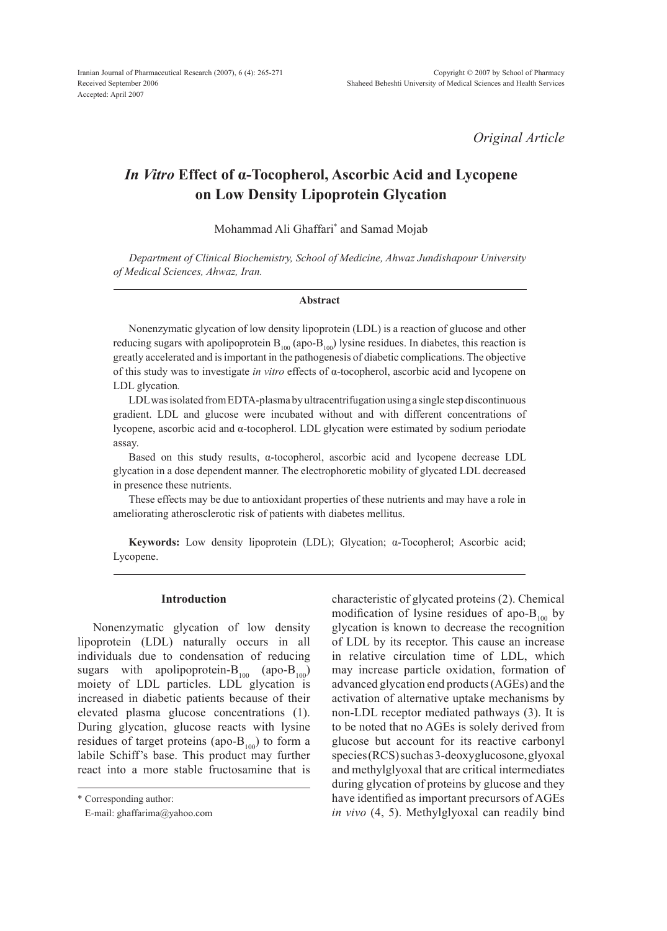*Original Article*

# *In Vitro* **Effect of α-Tocopherol, Ascorbic Acid and Lycopene on Low Density Lipoprotein Glycation**

Mohammad Ali Ghaffari\* and Samad Mojab

*Department of Clinical Biochemistry, School of Medicine, Ahwaz Jundishapour University of Medical Sciences, Ahwaz, Iran.*

#### **Abstract**

Nonenzymatic glycation of low density lipoprotein (LDL) is a reaction of glucose and other reducing sugars with apolipoprotein  $B_{100}$  (apo- $B_{100}$ ) lysine residues. In diabetes, this reaction is greatly accelerated and is important in the pathogenesis of diabetic complications. The objective of this study was to investigate *in vitro* effects of α-tocopherol, ascorbic acid and lycopene on LDL glycation*.* 

LDL was isolated from EDTA-plasma by ultracentrifugation using a single step discontinuous gradient. LDL and glucose were incubated without and with different concentrations of lycopene, ascorbic acid and α-tocopherol. LDL glycation were estimated by sodium periodate assay.

Based on this study results, α-tocopherol, ascorbic acid and lycopene decrease LDL glycation in a dose dependent manner. The electrophoretic mobility of glycated LDL decreased in presence these nutrients.

These effects may be due to antioxidant properties of these nutrients and may have a role in ameliorating atherosclerotic risk of patients with diabetes mellitus.

**Keywords:** Low density lipoprotein (LDL); Glycation; α-Tocopherol; Ascorbic acid; Lycopene.

## **Introduction**

Nonenzymatic glycation of low density lipoprotein (LDL) naturally occurs in all individuals due to condensation of reducing sugars with apolipoprotein- $B_{100}$  (apo- $B_{100}$ ) moiety of LDL particles. LDL glycation is increased in diabetic patients because of their elevated plasma glucose concentrations (1). During glycation, glucose reacts with lysine residues of target proteins (apo- $B_{100}$ ) to form a labile Schiff's base. This product may further react into a more stable fructosamine that is

\* Corresponding author:

characteristic of glycated proteins (2). Chemical modification of lysine residues of apo- $B_{100}$  by glycation is known to decrease the recognition of LDL by its receptor. This cause an increase in relative circulation time of LDL, which may increase particle oxidation, formation of advanced glycation end products (AGEs) and the activation of alternative uptake mechanisms by non-LDL receptor mediated pathways (3). It is to be noted that no AGEs is solely derived from glucose but account for its reactive carbonyl species (RCS) such as 3-deoxyglucosone, glyoxal and methylglyoxal that are critical intermediates during glycation of proteins by glucose and they have identified as important precursors of AGEs *in vivo* (4, 5). Methylglyoxal can readily bind

E-mail: ghaffarima@yahoo.com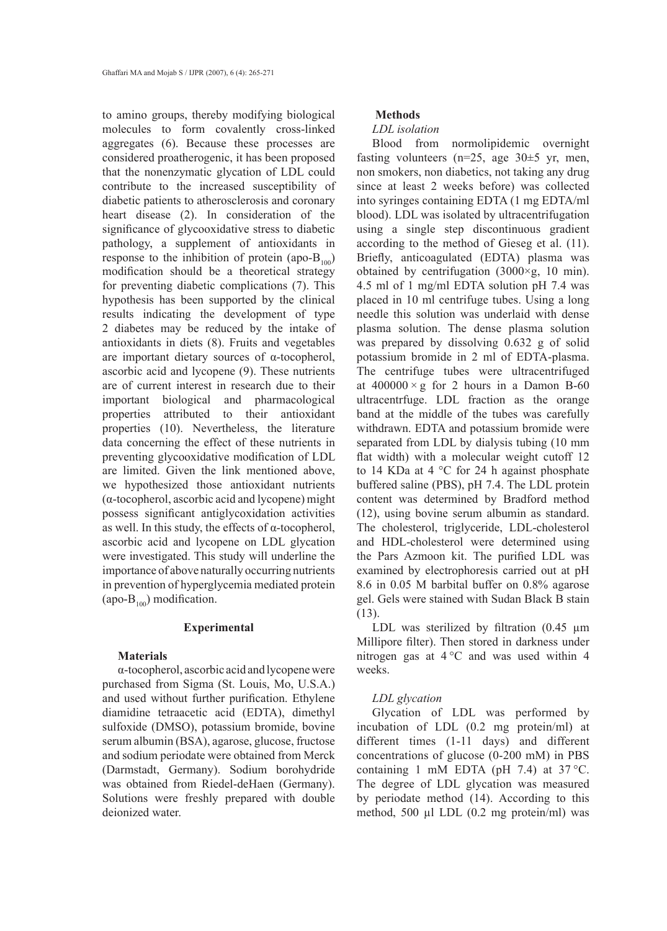to amino groups, thereby modifying biological molecules to form covalently cross-linked aggregates (6). Because these processes are considered proatherogenic, it has been proposed that the nonenzymatic glycation of LDL could contribute to the increased susceptibility of diabetic patients to atherosclerosis and coronary heart disease (2). In consideration of the significance of glycooxidative stress to diabetic pathology, a supplement of antioxidants in response to the inhibition of protein (apo- $B_{100}$ ) modification should be a theoretical strategy for preventing diabetic complications (7). This hypothesis has been supported by the clinical results indicating the development of type 2 diabetes may be reduced by the intake of antioxidants in diets (8). Fruits and vegetables are important dietary sources of α-tocopherol, ascorbic acid and lycopene (9). These nutrients are of current interest in research due to their important biological and pharmacological properties attributed to their antioxidant properties (10). Nevertheless, the literature data concerning the effect of these nutrients in preventing glycooxidative modification of LDL are limited. Given the link mentioned above, we hypothesized those antioxidant nutrients (α-tocopherol, ascorbic acid and lycopene) might possess significant antiglycoxidation activities as well. In this study, the effects of α-tocopherol, ascorbic acid and lycopene on LDL glycation were investigated. This study will underline the importance of above naturally occurring nutrients in prevention of hyperglycemia mediated protein (apo- $B_{100}$ ) modification.

#### **Experimental**

## **Materials**

α-tocopherol, ascorbic acid and lycopene were purchased from Sigma (St. Louis, Mo, U.S.A.) and used without further purification. Ethylene diamidine tetraacetic acid (EDTA), dimethyl sulfoxide (DMSO), potassium bromide, bovine serum albumin (BSA), agarose, glucose, fructose and sodium periodate were obtained from Merck (Darmstadt, Germany). Sodium borohydride was obtained from Riedel-deHaen (Germany). Solutions were freshly prepared with double deionized water.

# **Methods**

## *LDL isolation*

Blood from normolipidemic overnight fasting volunteers ( $n=25$ , age  $30\pm 5$  yr, men, non smokers, non diabetics, not taking any drug since at least 2 weeks before) was collected into syringes containing EDTA (1 mg EDTA/ml blood). LDL was isolated by ultracentrifugation using a single step discontinuous gradient according to the method of Gieseg et al. (11). Briefly, anticoagulated (EDTA) plasma was obtained by centrifugation  $(3000 \times g, 10 \text{ min})$ . 4.5 ml of 1 mg/ml EDTA solution pH 7.4 was placed in 10 ml centrifuge tubes. Using a long needle this solution was underlaid with dense plasma solution. The dense plasma solution was prepared by dissolving 0.632 g of solid potassium bromide in 2 ml of EDTA-plasma. The centrifuge tubes were ultracentrifuged at  $400000 \times g$  for 2 hours in a Damon B-60 ultracentrfuge. LDL fraction as the orange band at the middle of the tubes was carefully withdrawn. EDTA and potassium bromide were separated from LDL by dialysis tubing (10 mm flat width) with a molecular weight cutoff 12 to 14 KDa at 4 °C for 24 h against phosphate buffered saline (PBS), pH 7.4. The LDL protein content was determined by Bradford method (12), using bovine serum albumin as standard. The cholesterol, triglyceride, LDL-cholesterol and HDL-cholesterol were determined using the Pars Azmoon kit. The purified LDL was examined by electrophoresis carried out at pH 8.6 in 0.05 M barbital buffer on 0.8% agarose gel. Gels were stained with Sudan Black B stain (13).

LDL was sterilized by filtration (0.45  $\mu$ m) Millipore filter). Then stored in darkness under nitrogen gas at 4 °C and was used within 4 weeks.

## *LDL glycation*

Glycation of LDL was performed by incubation of LDL (0.2 mg protein/ml) at different times (1-11 days) and different concentrations of glucose (0-200 mM) in PBS containing 1 mM EDTA (pH  $7.4$ ) at  $37^{\circ}$ C. The degree of LDL glycation was measured by periodate method (14). According to this method, 500 µl LDL (0.2 mg protein/ml) was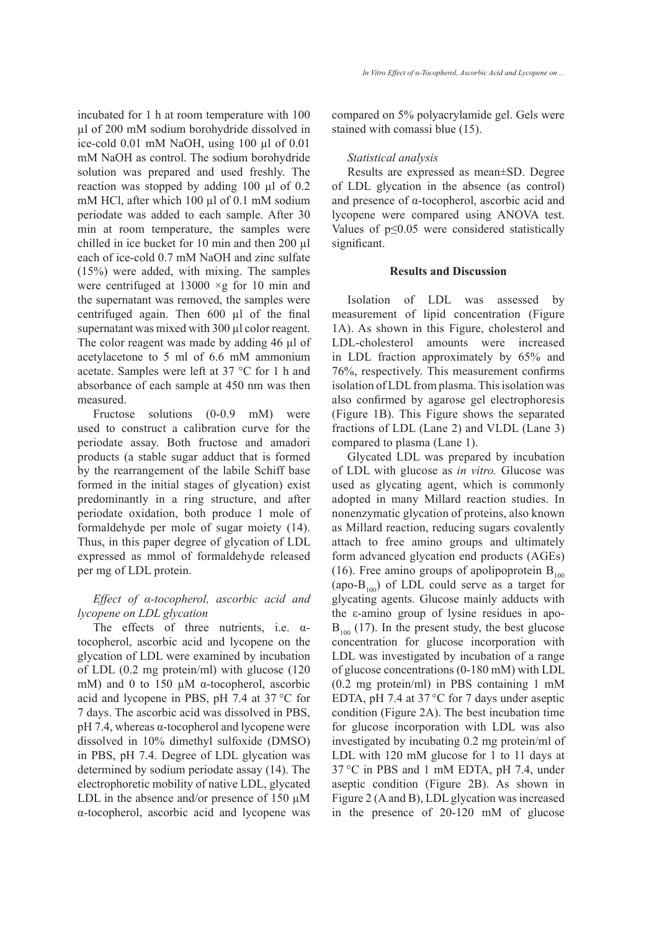incubated for 1 h at room temperature with 100 µl of 200 mM sodium borohydride dissolved in ice-cold 0.01 mM NaOH, using 100 µl of 0.01 mM NaOH as control. The sodium borohydride solution was prepared and used freshly. The reaction was stopped by adding 100 µl of 0.2 mM HCl, after which 100 µl of 0.1 mM sodium periodate was added to each sample. After 30 min at room temperature, the samples were chilled in ice bucket for 10 min and then 200 µl each of ice-cold 0.7 mM NaOH and zinc sulfate (15%) were added, with mixing. The samples were centrifuged at  $13000 \times g$  for 10 min and the supernatant was removed, the samples were centrifuged again. Then 600 µl of the final supernatant was mixed with 300 µl color reagent. The color reagent was made by adding 46 µl of acetylacetone to 5 ml of 6.6 mM ammonium acetate. Samples were left at 37 °C for 1 h and absorbance of each sample at 450 nm was then measured.

Fructose solutions (0-0.9 mM) were used to construct a calibration curve for the periodate assay. Both fructose and amadori products (a stable sugar adduct that is formed by the rearrangement of the labile Schiff base formed in the initial stages of glycation) exist predominantly in a ring structure, and after periodate oxidation, both produce 1 mole of formaldehyde per mole of sugar moiety (14). Thus, in this paper degree of glycation of LDL expressed as mmol of formaldehyde released per mg of LDL protein.

# *Effect of α-tocopherol, ascorbic acid and lycopene on LDL glycation*

The effects of three nutrients, i.e. αtocopherol, ascorbic acid and lycopene on the glycation of LDL were examined by incubation of LDL (0.2 mg protein/ml) with glucose (120 mM) and 0 to 150 μM α-tocopherol, ascorbic acid and lycopene in PBS, pH 7.4 at 37 °C for 7 days. The ascorbic acid was dissolved in PBS,  $pH$  7.4, whereas α-tocopherol and lycopene were dissolved in 10% dimethyl sulfoxide (DMSO) in PBS, pH 7.4. Degree of LDL glycation was determined by sodium periodate assay (14). The electrophoretic mobility of native LDL, glycated LDL in the absence and/or presence of 150  $\mu$ M α-tocopherol, ascorbic acid and lycopene was compared on 5% polyacrylamide gel. Gels were stained with comassi blue (15).

#### *Statistical analysis*

Results are expressed as mean±SD. Degree of LDL glycation in the absence (as control) and presence of α-tocopherol, ascorbic acid and lycopene were compared using ANOVA test. Values of p≤0.05 were considered statistically significant.

#### **Results and Discussion**

Isolation of LDL was assessed by measurement of lipid concentration (Figure 1A). As shown in this Figure, cholesterol and LDL-cholesterol amounts were increased in LDL fraction approximately by 65% and 76%, respectively. This measurement confirms isolation of LDL from plasma. This isolation was also confirmed by agarose gel electrophoresis (Figure 1B). This Figure shows the separated fractions of LDL (Lane 2) and VLDL (Lane 3) compared to plasma (Lane 1).

Glycated LDL was prepared by incubation of LDL with glucose as *in vitro.* Glucose was used as glycating agent, which is commonly adopted in many Millard reaction studies. In nonenzymatic glycation of proteins, also known as Millard reaction, reducing sugars covalently attach to free amino groups and ultimately form advanced glycation end products (AGEs) (16). Free amino groups of apolipoprotein  $B_{100}$ (apo- $B_{100}$ ) of LDL could serve as a target for glycating agents. Glucose mainly adducts with the ε-amino group of lysine residues in apo- $B_{100}$  (17). In the present study, the best glucose concentration for glucose incorporation with LDL was investigated by incubation of a range of glucose concentrations (0-180 mM) with LDL (0.2 mg protein/ml) in PBS containing 1 mM EDTA, pH 7.4 at 37 °C for 7 days under aseptic condition (Figure 2A). The best incubation time for glucose incorporation with LDL was also investigated by incubating 0.2 mg protein/ml of LDL with 120 mM glucose for 1 to 11 days at 37 °C in PBS and 1 mM EDTA, pH 7.4, under aseptic condition (Figure 2B). As shown in Figure 2 (A and B), LDL glycation was increased in the presence of 20-120 mM of glucose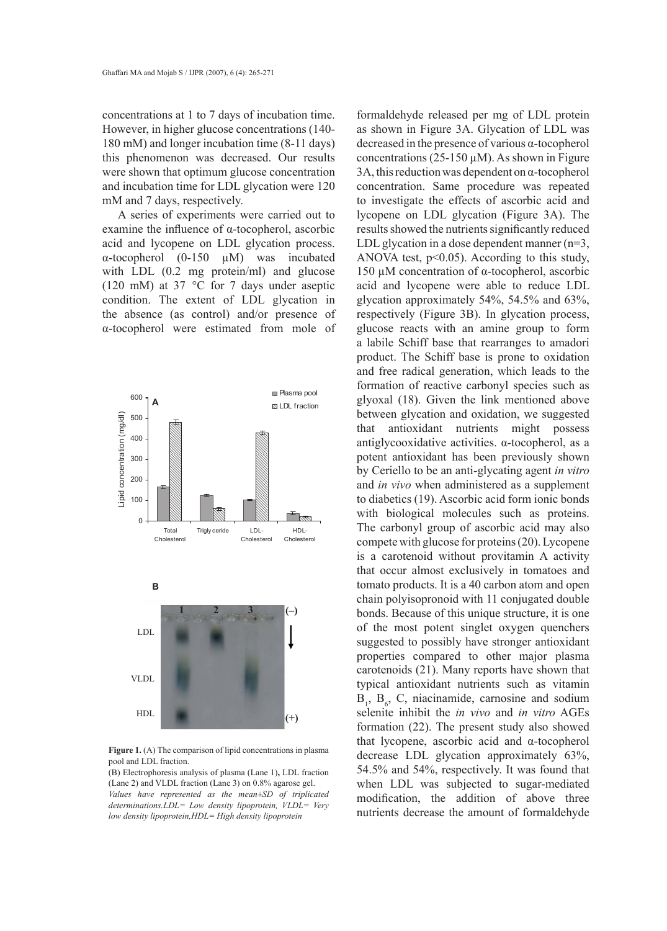concentrations at 1 to 7 days of incubation time. However, in higher glucose concentrations (140- 180 mM) and longer incubation time (8-11 days) this phenomenon was decreased. Our results were shown that optimum glucose concentration and incubation time for LDL glycation were 120 mM and 7 days, respectively.

A series of experiments were carried out to examine the influence of α-tocopherol, ascorbic acid and lycopene on LDL glycation process. α-tocopherol (0-150 µM) was incubated with LDL  $(0.2 \text{ mg protein/ml})$  and glucose (120 mM) at 37 °C for 7 days under aseptic condition. The extent of LDL glycation in the absence (as control) and/or presence of α-tocopherol were estimated from mole of



Figure 1. (A) The comparison of lipid concentrations in plasma pool and LDL fraction.

(B) Electrophoresis analysis of plasma (Lane 1)**,** LDL fraction (Lane 2) and VLDL fraction (Lane 3) on 0.8% agarose gel. *Values have represented as the mean±SD of triplicated determinations.LDL= Low density lipoprotein, VLDL= Very low density lipoprotein,HDL= High density lipoprotein*

formaldehyde released per mg of LDL protein as shown in Figure 3A. Glycation of LDL was decreased in the presence of various α-tocopherol concentrations (25-150  $\mu$ M). As shown in Figure 3A, this reduction was dependent on  $\alpha$ -tocopherol concentration. Same procedure was repeated to investigate the effects of ascorbic acid and lycopene on LDL glycation (Figure 3A). The results showed the nutrients significantly reduced LDL glycation in a dose dependent manner  $(n=3)$ , ANOVA test,  $p<0.05$ ). According to this study, 150 µM concentration of α-tocopherol, ascorbic acid and lycopene were able to reduce LDL glycation approximately 54%, 54.5% and 63%, respectively (Figure 3B). In glycation process, glucose reacts with an amine group to form a labile Schiff base that rearranges to amadori product. The Schiff base is prone to oxidation and free radical generation, which leads to the formation of reactive carbonyl species such as glyoxal (18). Given the link mentioned above between glycation and oxidation, we suggested that antioxidant nutrients might possess antiglycooxidative activities. α-tocopherol, as a potent antioxidant has been previously shown by Ceriello to be an anti-glycating agent *in vitro* and *in vivo* when administered as a supplement to diabetics (19). Ascorbic acid form ionic bonds with biological molecules such as proteins. The carbonyl group of ascorbic acid may also compete with glucose for proteins (20). Lycopene is a carotenoid without provitamin A activity that occur almost exclusively in tomatoes and tomato products. It is a 40 carbon atom and open chain polyisopronoid with 11 conjugated double bonds. Because of this unique structure, it is one of the most potent singlet oxygen quenchers suggested to possibly have stronger antioxidant properties compared to other major plasma carotenoids (21). Many reports have shown that typical antioxidant nutrients such as vitamin  $B_1$ ,  $B_6$ , C, niacinamide, carnosine and sodium selenite inhibit the *in vivo* and *in vitro* AGEs formation (22). The present study also showed that lycopene, ascorbic acid and α-tocopherol decrease LDL glycation approximately 63%, 54.5% and 54%, respectively. It was found that when LDL was subjected to sugar-mediated modification, the addition of above three nutrients decrease the amount of formaldehyde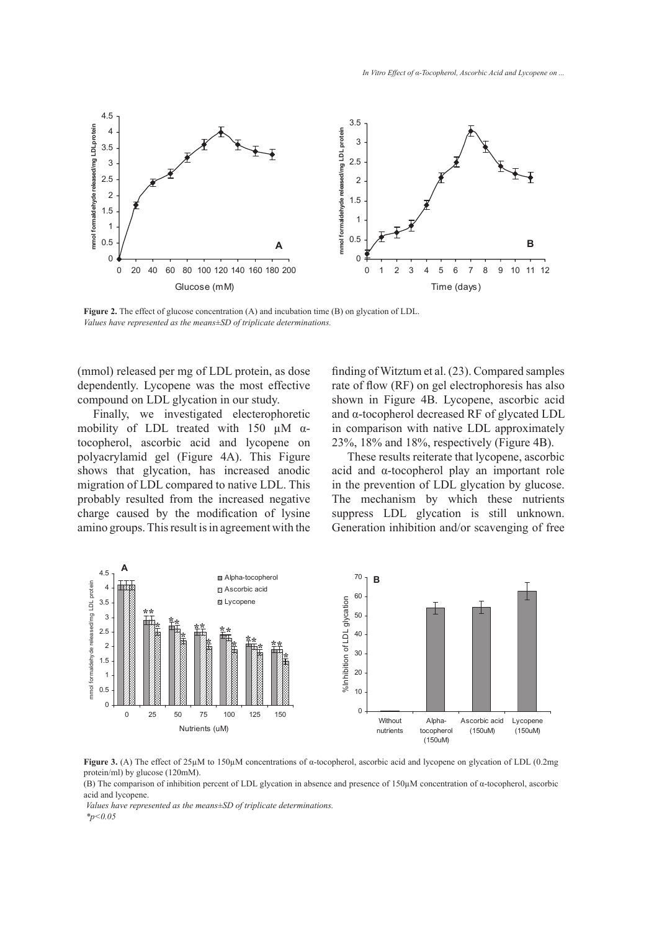

Figure 2. The effect of glucose concentration (A) and incubation time (B) on glycation of LDL. *Values have represented as the means±SD of triplicate determinations.*

(mmol) released per mg of LDL protein, as dose dependently. Lycopene was the most effective compound on LDL glycation in our study.

Finally, we investigated electerophoretic mobility of LDL treated with 150  $\mu$ M  $\alpha$ tocopherol, ascorbic acid and lycopene on polyacrylamid gel (Figure 4A). This Figure shows that glycation, has increased anodic migration of LDL compared to native LDL. This probably resulted from the increased negative charge caused by the modification of lysine amino groups. This result is in agreement with the finding of Witztum et al. (23). Compared samples rate of flow (RF) on gel electrophoresis has also shown in Figure 4B. Lycopene, ascorbic acid and α-tocopherol decreased RF of glycated LDL in comparison with native LDL approximately 23%, 18% and 18%, respectively (Figure 4B).

These results reiterate that lycopene, ascorbic acid and α-tocopherol play an important role in the prevention of LDL glycation by glucose. The mechanism by which these nutrients suppress LDL glycation is still unknown. Generation inhibition and/or scavenging of free



**Figure 3.** (A) The effect of 25µM to 150µM concentrations of α-tocopherol, ascorbic acid and lycopene on glycation of LDL (0.2mg protein/ml) by glucose (120mM).

(B) The comparison of inhibition percent of LDL glycation in absence and presence of 150µM concentration of α-tocopherol, ascorbic acid and lycopene.

 *Values have represented as the means±SD of triplicate determinations. \*p<0.05*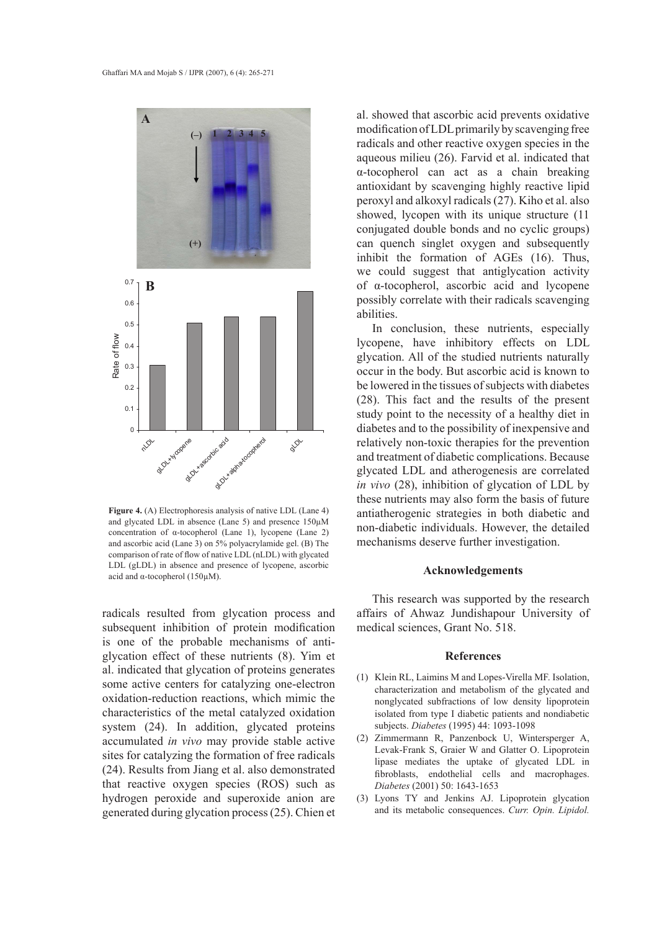

**Figure 4.** (A) Electrophoresis analysis of native LDL (Lane 4) and glycated LDL in absence (Lane 5) and presence 150µM concentration of α-tocopherol (Lane 1), lycopene (Lane 2) and ascorbic acid (Lane 3) on 5% polyacrylamide gel. (B) The comparison of rate of flow of native LDL (nLDL) with glycated LDL (gLDL) in absence and presence of lycopene, ascorbic acid and α-tocopherol (150µM).

radicals resulted from glycation process and subsequent inhibition of protein modification is one of the probable mechanisms of antiglycation effect of these nutrients (8). Yim et al. indicated that glycation of proteins generates some active centers for catalyzing one-electron oxidation-reduction reactions, which mimic the characteristics of the metal catalyzed oxidation system (24). In addition, glycated proteins accumulated *in vivo* may provide stable active sites for catalyzing the formation of free radicals (24). Results from Jiang et al. also demonstrated that reactive oxygen species (ROS) such as hydrogen peroxide and superoxide anion are generated during glycation process (25). Chien et al. showed that ascorbic acid prevents oxidative modification of LDL primarily by scavenging free radicals and other reactive oxygen species in the aqueous milieu (26). Farvid et al. indicated that α-tocopherol can act as a chain breaking antioxidant by scavenging highly reactive lipid peroxyl and alkoxyl radicals (27). Kiho et al. also showed, lycopen with its unique structure (11 conjugated double bonds and no cyclic groups) can quench singlet oxygen and subsequently inhibit the formation of AGEs (16). Thus, we could suggest that antiglycation activity of α-tocopherol, ascorbic acid and lycopene possibly correlate with their radicals scavenging abilities.

In conclusion, these nutrients, especially lycopene, have inhibitory effects on LDL glycation. All of the studied nutrients naturally occur in the body. But ascorbic acid is known to be lowered in the tissues of subjects with diabetes (28). This fact and the results of the present study point to the necessity of a healthy diet in diabetes and to the possibility of inexpensive and relatively non-toxic therapies for the prevention and treatment of diabetic complications. Because glycated LDL and atherogenesis are correlated *in vivo* (28), inhibition of glycation of LDL by these nutrients may also form the basis of future antiatherogenic strategies in both diabetic and non-diabetic individuals. However, the detailed mechanisms deserve further investigation.

#### **Acknowledgements**

This research was supported by the research affairs of Ahwaz Jundishapour University of medical sciences, Grant No. 518.

## **References**

- (1) Klein RL, Laimins M and Lopes-Virella MF. Isolation, characterization and metabolism of the glycated and nonglycated subfractions of low density lipoprotein isolated from type I diabetic patients and nondiabetic subjects. *Diabetes* (1995) 44: 1093-1098
- (2) Zimmermann R, Panzenbock U, Wintersperger A, Levak-Frank S, Graier W and Glatter O. Lipoprotein lipase mediates the uptake of glycated LDL in fibroblasts, endothelial cells and macrophages. *Diabetes* (2001) 50: 1643-1653
- Lyons TY and Jenkins AJ. Lipoprotein glycation (3) and its metabolic consequences. *Curr. Opin. Lipidol.*